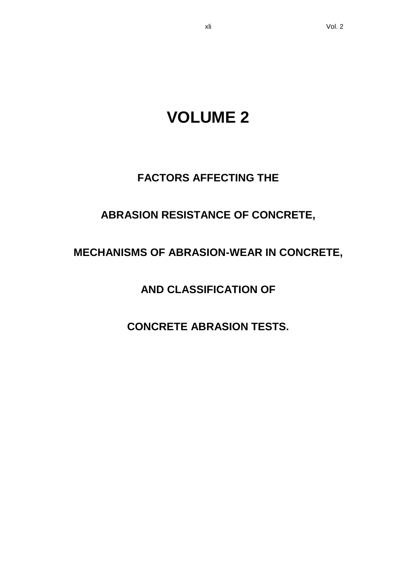# **VOLUME 2**

#### **FACTORS AFFECTING THE**

#### **ABRASION RESISTANCE OF CONCRETE,**

### **MECHANISMS OF ABRASION-WEAR IN CONCRETE,**

**AND CLASSIFICATION OF** 

**CONCRETE ABRASION TESTS.**